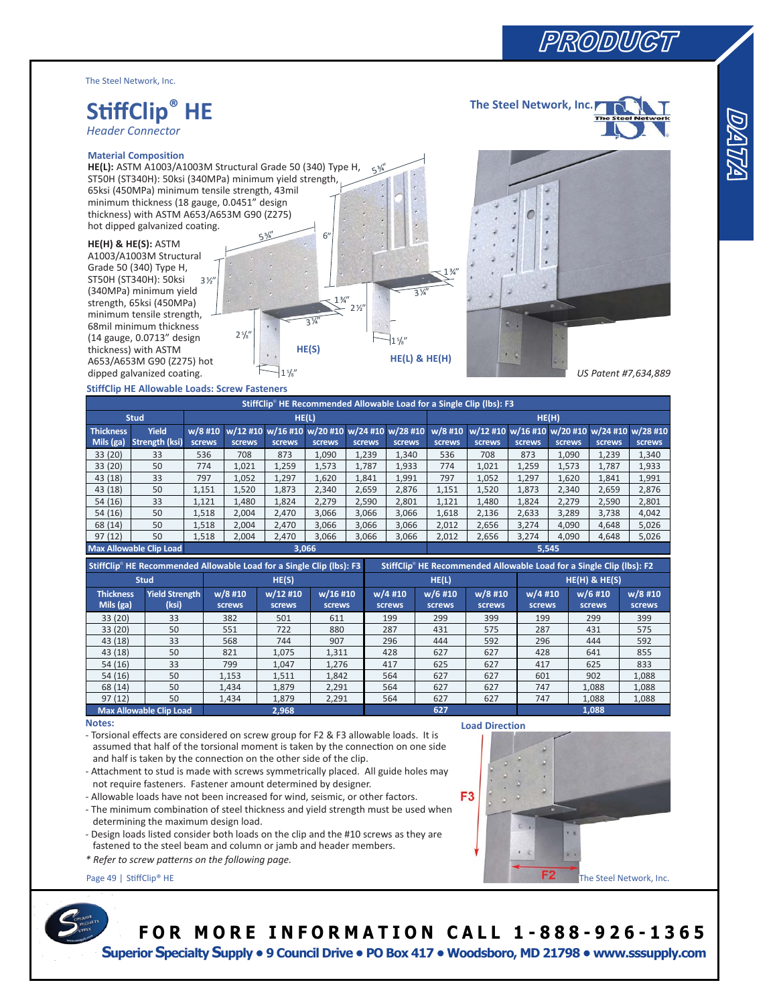The Steel Network, Inc.

# **SƟff Clip® HE**

*Header Connector*

### **Material Composition**

**HE(L):** ASTM A1003/A1003M Structural Grade 50 (340) Type H, ST50H (ST340H): 50ksi (340MPa) minimum yield strength, 65ksi (450MPa) minimum tensile strength, 43mil minimum thickness (18 gauge, 0.0451" design thickness) with ASTM A653/A653M G90 (Z275) hot dipped galvanized coating.

### **HE(H) & HE(S):** ASTM

A1003/A1003M Structural Grade 50 (340) Type H, ST50H (ST340H): 50ksi (340MPa) minimum yield strength, 65ksi (450MPa) minimum tensile strength, 68mil minimum thickness (14 gauge, 0.0713" design thickness) with ASTM A653/A653M G90 (Z275) hot dipped galvanized coating. 3 ½"



 $5^{3/4}$ 



**The Steel Network, Inc.**

# **StiffClip HE Allowable Loads: Screw Fasteners**

| $-1\frac{5}{8}$<br>dipped galvanized coating.<br>US Patent #7,634,889                                                                        |                                                      |           |         |                                                                      |          |        |     |           |         |           |         |                   |           |                                                      |  |
|----------------------------------------------------------------------------------------------------------------------------------------------|------------------------------------------------------|-----------|---------|----------------------------------------------------------------------|----------|--------|-----|-----------|---------|-----------|---------|-------------------|-----------|------------------------------------------------------|--|
|                                                                                                                                              | <b>StiffClip HE Allowable Loads: Screw Fasteners</b> |           |         |                                                                      |          |        |     |           |         |           |         |                   |           |                                                      |  |
|                                                                                                                                              |                                                      |           |         | StiffClip® HE Recommended Allowable Load for a Single Clip (lbs): F3 |          |        |     |           |         |           |         |                   |           |                                                      |  |
| <b>Stud</b><br>HE(L)                                                                                                                         |                                                      |           |         |                                                                      |          |        |     |           | HE(H)   |           |         |                   |           |                                                      |  |
| <b>Thickness</b>                                                                                                                             | Yield                                                | $w/8$ #10 |         | w/12 #10 w/16 #10 w/20 #10 w/24 #10 w/28 #10                         |          |        |     |           |         |           |         |                   |           | w/8 #10 w/12 #10 w/16 #10 w/20 #10 w/24 #10 w/28 #10 |  |
| Mils (ga)                                                                                                                                    | <b>Strength (ksi)</b>                                | screws    | screws  | screws                                                               | screws   | screws |     | screws    | screws  | screws    | screws  | screws            | screws    | screws                                               |  |
| 33 (20)                                                                                                                                      | 33                                                   | 536       | 708     | 873                                                                  | 1,090    | 1,239  |     | 1,340     | 536     | 708       | 873     | 1,090             | 1,239     | 1,340                                                |  |
| 33 (20)                                                                                                                                      | 50                                                   | 774       | 1,021   | 1,259                                                                | 1,573    | 1,787  |     | 1,933     | 774     | 1,021     | 1,259   | 1,573             | 1,787     | 1,933                                                |  |
| 43 (18)                                                                                                                                      | 33                                                   | 797       | 1,052   | 1,297                                                                | 1,620    | 1,841  |     | 1,991     | 797     | 1,052     | 1,297   | 1,620             | 1,841     | 1,991                                                |  |
| 43 (18)                                                                                                                                      | 50                                                   | 1,151     | 1,520   | 1,873                                                                | 2,340    | 2,659  |     | 2,876     | 1,151   | 1,520     | 1,873   | 2,340             | 2,659     | 2,876                                                |  |
| 54 (16)                                                                                                                                      | 33                                                   | 1,121     | 1,480   | 1,824                                                                | 2,279    | 2,590  |     | 2,801     | 1,121   | 1,480     | 1,824   | 2,279             | 2,590     | 2,801                                                |  |
| 54 (16)                                                                                                                                      | 50                                                   | 1,518     | 2,004   | 2,470                                                                | 3,066    | 3,066  |     | 3,066     | 1,618   | 2,136     | 2,633   | 3,289             | 3,738     | 4,042                                                |  |
| 68 (14)                                                                                                                                      | 50                                                   | 1,518     | 2,004   | 2,470                                                                | 3,066    | 3,066  |     | 3,066     | 2,012   | 2,656     | 3,274   | 4,090             | 4,648     | 5,026                                                |  |
| 97(12)                                                                                                                                       | 50                                                   | 1,518     | 2,004   | 2,470                                                                | 3,066    | 3,066  |     | 3,066     | 2,012   | 2,656     | 3,274   | 4,090             | 4,648     | 5,026                                                |  |
| <b>Max Allowable Clip Load</b><br>3,066<br>5,545                                                                                             |                                                      |           |         |                                                                      |          |        |     |           |         |           |         |                   |           |                                                      |  |
| StiffClip® HE Recommended Allowable Load for a Single Clip (lbs): F3<br>StiffClip® HE Recommended Allowable Load for a Single Clip (lbs): F2 |                                                      |           |         |                                                                      |          |        |     |           |         |           |         |                   |           |                                                      |  |
|                                                                                                                                              | <b>Stud</b>                                          |           |         | HE(S)                                                                |          |        |     | HE(L)     |         |           |         | $HE(H)$ & $HE(S)$ |           |                                                      |  |
| <b>Thickness</b>                                                                                                                             | <b>Yield Strength</b>                                |           | w/8 #10 | w/12 #10                                                             | w/16 #10 |        |     | $w/4$ #10 | w/6 #10 | $w/8$ #10 | w/4 #10 |                   | $w/6$ #10 | $w/8$ #10                                            |  |
| Mils $(ga)$                                                                                                                                  | (ksi)                                                |           | screws  | <b>screws</b>                                                        | screws   |        |     | screws    | screws  | screws    | screws  |                   | screws    | screws                                               |  |
| 33 (20)                                                                                                                                      | 33                                                   |           | 382     | 501                                                                  | 611      |        |     | 199       | 299     | 399       | 199     |                   | 299       | 399                                                  |  |
| 33 (20)                                                                                                                                      | 50                                                   |           | 551     | 722                                                                  | 880      |        |     | 287       | 431     | 575       | 287     |                   | 431       | 575                                                  |  |
| 43 (18)                                                                                                                                      | 33                                                   |           | 568     | 744                                                                  | 907      |        |     | 296       | 444     | 592       | 296     |                   | 444       | 592                                                  |  |
| 43 (18)                                                                                                                                      | 50                                                   |           | 821     | 1,075                                                                | 1,311    |        |     | 428       | 627     | 627       | 428     |                   | 641       | 855                                                  |  |
| 54(16)                                                                                                                                       | 33                                                   |           | 799     | 1,047                                                                | 1,276    |        |     | 417       | 625     | 627       | 417     |                   | 625       | 833                                                  |  |
| 54 (16)                                                                                                                                      | 50                                                   |           | 1,153   | 1,511                                                                | 1,842    |        |     | 564       | 627     | 627       | 601     |                   | 902       | 1,088                                                |  |
| 68 (14)                                                                                                                                      | 50                                                   |           | 1,434   | 1,879                                                                | 2,291    |        |     | 564       | 627     | 627       | 747     |                   | 1,088     | 1,088                                                |  |
| 97(12)                                                                                                                                       | 50                                                   |           | 1,434   | 1,879                                                                | 2,291    |        | 564 |           | 627     | 627       | 747     |                   | 1,088     | 1,088                                                |  |
| <b>Max Allowable Clip Load</b><br>2,968<br>627<br>1,088                                                                                      |                                                      |           |         |                                                                      |          |        |     |           |         |           |         |                   |           |                                                      |  |
| Notes:<br><b>Load Direction</b>                                                                                                              |                                                      |           |         |                                                                      |          |        |     |           |         |           |         |                   |           |                                                      |  |
| - Torsional effects are considered on screw group for F2 & F3 allowable loads. It is                                                         |                                                      |           |         |                                                                      |          |        |     |           |         |           |         |                   |           |                                                      |  |
| assumed that half of the torsional moment is taken by the connection on one side<br>э                                                        |                                                      |           |         |                                                                      |          |        |     |           |         |           |         |                   |           |                                                      |  |
| and half is taken by the connection on the other side of the clip.                                                                           |                                                      |           |         |                                                                      |          |        |     |           |         |           |         |                   |           |                                                      |  |
| - Attachment to stud is made with screws symmetrically placed. All guide holes may                                                           |                                                      |           |         |                                                                      |          |        |     |           |         |           |         |                   |           |                                                      |  |
| not require fasteners. Fastener amount determined by designer.                                                                               |                                                      |           |         |                                                                      |          |        |     |           |         |           |         |                   |           |                                                      |  |
| F <sub>3</sub><br>- Allowable loads have not been increased for wind, seismic, or other factors.                                             |                                                      |           |         |                                                                      |          |        |     |           |         |           |         |                   |           |                                                      |  |
| - The minimum combination of steel thickness and yield strength must be used when                                                            |                                                      |           |         |                                                                      |          |        |     |           |         |           |         |                   |           |                                                      |  |
| determining the maximum design load.                                                                                                         |                                                      |           |         |                                                                      |          |        |     |           |         |           |         |                   |           |                                                      |  |
| e<br>$1 - K$<br>- Design loads listed consider both loads on the clip and the #10 screws as they are                                         |                                                      |           |         |                                                                      |          |        |     |           |         |           |         |                   |           |                                                      |  |
| fastened to the steel beam and column or jamb and header members.                                                                            |                                                      |           |         |                                                                      |          |        |     |           |         |           |         |                   |           |                                                      |  |
| ● 定<br>* Refer to screw patterns on the following page.                                                                                      |                                                      |           |         |                                                                      |          |        |     |           |         |           |         |                   |           |                                                      |  |
|                                                                                                                                              |                                                      |           |         |                                                                      |          |        |     |           |         |           |         |                   |           |                                                      |  |
| F2<br>Page 49   StiffClip® HE<br>The Steel Network, Inc.                                                                                     |                                                      |           |         |                                                                      |          |        |     |           |         |           |         |                   |           |                                                      |  |

| StiffClip <sup>®</sup> HE Recommended Allowable Load for a Single Clip (lbs): F3 |                                |                            |                           |                    | StiffClip HE Recommended Allowable Load for a Single Clip (lbs): F2 |                     |                     |                     |                   |                     |  |
|----------------------------------------------------------------------------------|--------------------------------|----------------------------|---------------------------|--------------------|---------------------------------------------------------------------|---------------------|---------------------|---------------------|-------------------|---------------------|--|
|                                                                                  | <b>Stud</b>                    |                            | HE(S)                     |                    |                                                                     | HE(L)               |                     | $HE(H)$ & $HE(S)$   |                   |                     |  |
| <b>Thickness</b><br>Mils $(ga)$                                                  | <b>Yield Strength</b><br>(ksi) | $w/8$ #10<br><b>screws</b> | w/12 #10<br><b>screws</b> | w/16 #10<br>screws | w/4 #10<br>screws                                                   | $w/6$ #10<br>screws | $w/8$ #10<br>screws | $w/4$ #10<br>screws | w/6 #10<br>screws | $w/8$ #10<br>screws |  |
| 33(20)                                                                           | 33                             | 382                        | 501                       | 611                | 199                                                                 | 299                 | 399                 | 199                 | 299               | 399                 |  |
| 33(20)                                                                           | 50                             | 551                        | 722                       | 880                | 287                                                                 | 431                 | 575                 | 287                 | 431               | 575                 |  |
| 43(18)                                                                           | 33                             | 568                        | 744                       | 907                | 296                                                                 | 444                 | 592                 | 296                 | 444               | 592                 |  |
| 43 (18)                                                                          | 50                             | 821                        | 1.075                     | 1,311              | 428                                                                 | 627                 | 627                 | 428                 | 641               | 855                 |  |
| 54(16)                                                                           | 33                             | 799                        | 1,047                     | 1,276              | 417                                                                 | 625                 | 627                 | 417                 | 625               | 833                 |  |
| 54(16)                                                                           | 50                             | 1,153                      | 1,511                     | 1,842              | 564                                                                 | 627                 | 627                 | 601                 | 902               | 1,088               |  |
| 68 (14)                                                                          | 50                             | 1,434                      | 1,879                     | 2,291              | 564                                                                 | 627                 | 627                 | 747                 | 1,088             | 1,088               |  |
| 97(12)                                                                           | 50                             | 1,434                      | 1,879                     | 2,291              | 564                                                                 | 627                 | 627                 | 747                 | 1,088             | 1,088               |  |
|                                                                                  | <b>Max Allowable Clip Load</b> |                            | 2.968                     |                    |                                                                     | 627                 |                     | 1,088               |                   |                     |  |

### **Notes:**

- Attachment to stud is made with screws symmetrically placed. All guide holes may not require fasteners. Fastener amount determined by designer.
- Allowable loads have not been increased for wind, seismic, or other factors.
- The minimum combination of steel thickness and yield strength must be used when determining the maximum design load.
- Design loads listed consider both loads on the clip and the #10 screws as they are fastened to the steel beam and column or jamb and header members.
- *\* Refer to screw paƩ erns on the following page.*



# **F O R M O R E I N F O R M A T I O N C A L L 1 - 8 8 8 - 926 - 1365**

 **Superior Specialty Supply • 9 Council Drive • PO Box 417 • Woodsboro, MD 21798 • www.sssupply.com**